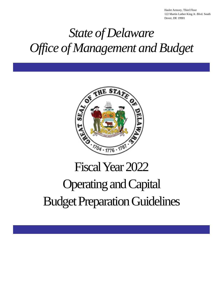Haslet Armory, Third Floor 122 Martin Luther King Jr. Blvd. South Dover, DE 19901

# *State of Delaware Office of Management and Budget*



# Fiscal Year 2022 Operating and Capital Budget Preparation Guidelines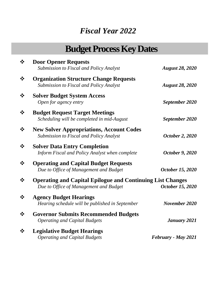# *Fiscal Year 2022*

# **Budget Process Key Dates**

| $\cdot \cdot$ | <b>Door Opener Requests</b>                                       |                        |
|---------------|-------------------------------------------------------------------|------------------------|
|               | Submission to Fiscal and Policy Analyst                           | <b>August 28, 2020</b> |
| ❖             | <b>Organization Structure Change Requests</b>                     |                        |
|               | Submission to Fiscal and Policy Analyst                           | <b>August 28, 2020</b> |
| ❖             | <b>Solver Budget System Access</b>                                |                        |
|               | Open for agency entry                                             | September 2020         |
| $\frac{1}{2}$ | <b>Budget Request Target Meetings</b>                             |                        |
|               | Scheduling will be completed in mid-August                        | September 2020         |
| ❖             | <b>New Solver Appropriations, Account Codes</b>                   |                        |
|               | Submission to Fiscal and Policy Analyst                           | October 2, 2020        |
| $\frac{1}{2}$ | <b>Solver Data Entry Completion</b>                               |                        |
|               | Inform Fiscal and Policy Analyst when complete                    | October 9, 2020        |
| ❖             | <b>Operating and Capital Budget Requests</b>                      |                        |
|               | Due to Office of Management and Budget                            | October 15, 2020       |
| ❖             | <b>Operating and Capital Epilogue and Continuing List Changes</b> |                        |
|               | Due to Office of Management and Budget                            | October 15, 2020       |
| ❖             | <b>Agency Budget Hearings</b>                                     |                        |
|               | Hearing schedule will be published in September                   | November 2020          |
| ❖             | <b>Governor Submits Recommended Budgets</b>                       |                        |
|               | <b>Operating and Capital Budgets</b>                              | January 2021           |
| $\frac{1}{2}$ | <b>Legislative Budget Hearings</b>                                |                        |
|               | <b>Operating and Capital Budgets</b>                              | February - May 2021    |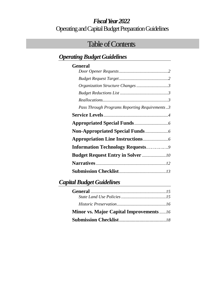# *Fiscal Year 2022* Operating and Capital Budget Preparation Guidelines

# Table of Contents

# *Operating Budget Guidelines*

| General                                       |
|-----------------------------------------------|
|                                               |
|                                               |
| Organization Structure Changes3               |
|                                               |
|                                               |
| Pass Through Programs Reporting Requirements3 |
|                                               |
|                                               |
|                                               |
|                                               |
| <b>Information Technology Requests9</b>       |
|                                               |
|                                               |
|                                               |

# *Capital Budget Guidelines*

| <b>Minor vs. Major Capital Improvements</b> 16 |  |
|------------------------------------------------|--|
|                                                |  |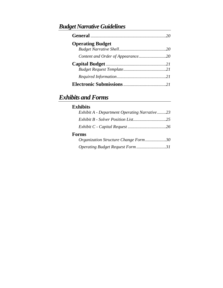# *Budget Narrative Guidelines*

| <b>Operating Budget</b> |  |
|-------------------------|--|
|                         |  |
|                         |  |
|                         |  |
|                         |  |
|                         |  |
|                         |  |

# *Exhibits and Forms*

| <b>Exhibits</b>                                     |
|-----------------------------------------------------|
| <b>Exhibit A</b> - Department Operating Narrative23 |
|                                                     |
|                                                     |
| <b>Forms</b>                                        |
| Organization Structure Change Form30                |
| Operating Budget Request Form 31                    |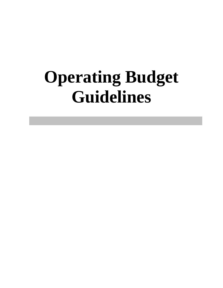# **Operating Budget Guidelines**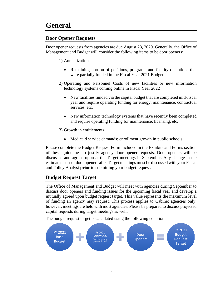### **Door Opener Requests**

Door opener requests from agencies are due August 28, 2020. Generally, the Office of Management and Budget will consider the following items to be door openers:

- 1) Annualizations
	- Remaining portion of positions, programs and facility operations that were partially funded in the Fiscal Year 2021 Budget.
- 2) Operating and Personnel Costs of new facilities or new information technology systems coming online in Fiscal Year 2022
	- New facilities funded via the capital budget that are completed mid-fiscal year and require operating funding for energy, maintenance, contractual services, etc.
	- New information technology systems that have recently been completed and require operating funding for maintenance, licensing, etc.

3) Growth in entitlements

• Medicaid service demands; enrollment growth in public schools.

Please complete the Budget Request Form included in the Exhibits and Forms section of these guidelines to justify agency door opener requests. Door openers will be discussed and agreed upon at the Target meetings in September. Any change in the estimated cost of door openers after Target meetings must be discussed with your Fiscal and Policy Analyst **prior** to submitting your budget request.

### **Budget Request Target**

The Office of Management and Budget will meet with agencies during September to discuss door openers and funding issues for the upcoming fiscal year and develop a mutually agreed upon budget request target. This value represents the maximum level of funding an agency may request. This process applies to Cabinet agencies only; however, meetings are held with most agencies. Please be prepared to discuss projected capital requests during target meetings as well.

The budget request target is calculated using the following equation:

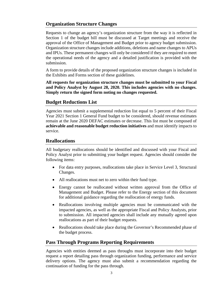### **Organization Structure Changes**

Requests to change an agency's organization structure from the way it is reflected in Section 1 of the budget bill must be discussed at Target meetings and receive the approval of the Office of Management and Budget prior to agency budget submission. Organization structure changes include additions, deletions and name changes to APUs and IPUs. These permanent changes will only be considered if they are required to meet the operational needs of the agency and a detailed justification is provided with the submission.

A form to provide details of the proposed organization structure changes is included in the Exhibits and Forms section of these guidelines.

**All requests for organization structure changes must be submitted to your Fiscal and Policy Analyst by August 28, 2020. This includes agencies with no changes. Simply return the signed form noting no changes requested.**

### **Budget Reductions List**

Agencies must submit a supplemental reduction list equal to 5 percent of their Fiscal Year 2021 Section 1 General Fund budget to be considered, should revenue estimates remain at the June 2020 DEFAC estimates or decrease. This list must be composed of **achievable and reasonable budget reduction initiatives** and must identify impacts to service.

### **Reallocations**

All budgetary reallocations should be identified and discussed with your Fiscal and Policy Analyst prior to submitting your budget request. Agencies should consider the following items:

- For data entry purposes, reallocations take place in Service Level 3, Structural Changes.
- All reallocations must net to zero within their fund type.
- Energy cannot be reallocated without written approval from the Office of Management and Budget. Please refer to the Energy section of this document for additional guidance regarding the reallocation of energy funds.
- Reallocations involving multiple agencies must be communicated with the impacted agencies, as well as the appropriate Fiscal and Policy Analysts, prior to submission. All impacted agencies shall include any mutually agreed upon reallocations as part of their budget requests.
- Reallocations should take place during the Governor's Recommended phase of the budget process.

### **Pass Through Programs Reporting Requirements**

Agencies with entities deemed as pass throughs must incorporate into their budget request a report detailing pass through organization funding, performance and service delivery options. The agency must also submit a recommendation regarding the continuation of funding for the pass through.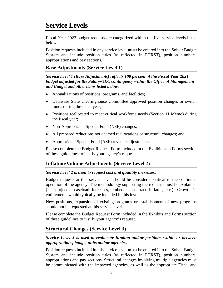# **Service Levels**

Fiscal Year 2022 budget requests are categorized within the five service levels listed below.

Position requests included in any service level **must** be entered into the Solver Budget System and include position titles (as reflected in PHRST), position numbers, appropriations and pay sections.

### **Base Adjustments (Service Level 1)**

*Service Level 1 (Base Adjustments) reflects 100 percent of the Fiscal Year 2021 budget adjusted for the Salary/OEC contingency within the Office of Management and Budget and other items listed below.*

- Annualizations of positions, programs, and facilities;
- Delaware State Clearinghouse Committee approved position changes or switch funds during the fiscal year;
- Positions reallocated to meet critical workforce needs (Section 11 Memo) during the fiscal year;
- Non-Appropriated Special Fund (NSF) changes;
- All prepared reductions not deemed reallocations or structural changes; and
- Appropriated Special Fund (ASF) revenue adjustments.

Please complete the Budget Request Form included in the Exhibits and Forms section of these guidelines to justify your agency's request.

### **Inflation/Volume Adjustments (Service Level 2)**

### *Service Level 2 is used to request cost and quantity increases.*

Budget requests at this service level should be considered critical to the continued operation of the agency. The methodology supporting the requests must be explained (i.e. projected caseload increases, embedded contract inflator, etc.). Growth in entitlements would typically be included in this level.

New positions, expansion of existing programs or establishment of new programs should not be requested at this service level.

Please complete the Budget Request Form included in the Exhibits and Forms section of these guidelines to justify your agency's request.

### **Structural Changes (Service Level 3)**

### *Service Level 3 is used to reallocate funding and/or positions within or between appropriations, budget units and/or agencies.*

Position requests included in this service level **must** be entered into the Solver Budget System and include position titles (as reflected in PHRST), position numbers, appropriations and pay sections. Structural changes involving multiple agencies must be communicated with the impacted agencies, as well as the appropriate Fiscal and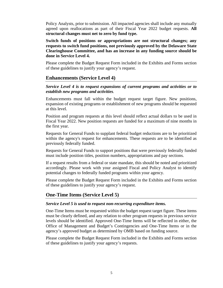Policy Analysts, prior to submission. All impacted agencies shall include any mutually agreed upon reallocations as part of their Fiscal Year 2022 budget requests. **All structural changes must net to zero by fund type.** 

**Switch funds of positions or appropriations are not structural changes; any requests to switch fund positions, not previously approved by the Delaware State Clearinghouse Committee, and has an increase in any funding source should be done in Service Level 4.**

Please complete the Budget Request Form included in the Exhibits and Forms section of these guidelines to justify your agency's request.

### **Enhancements (Service Level 4)**

*Service Level 4 is to request expansions of current programs and activities or to establish new programs and activities.* 

Enhancements must fall within the budget request target figure. New positions, expansion of existing programs or establishment of new programs should be requested at this level.

Position and program requests at this level should reflect actual dollars to be used in Fiscal Year 2022. New position requests are funded for a maximum of nine months in the first year.

Requests for General Funds to supplant federal budget reductions are to be prioritized within the agency's request for enhancements. These requests are to be identified as previously federally funded.

Requests for General Funds to support positions that were previously federally funded must include position titles, position numbers, appropriations and pay sections.

If a request results from a federal or state mandate, this should be noted and prioritized accordingly. Please work with your assigned Fiscal and Policy Analyst to identify potential changes to federally funded programs within your agency.

Please complete the Budget Request Form included in the Exhibits and Forms section of these guidelines to justify your agency's request.

### **One-Time Items (Service Level 5)**

### *Service Level 5 is used to request non-recurring expenditure items.*

One-Time Items must be requested within the budget request target figure. These items must be clearly defined, and any relation to other program requests in previous service levels should be identified. Approved One-Time Items will be reflected in either, the Office of Management and Budget's Contingencies and One-Time Items or in the agency's approved budget as determined by OMB based on funding source.

Please complete the Budget Request Form included in the Exhibits and Forms section of these guidelines to justify your agency's requests.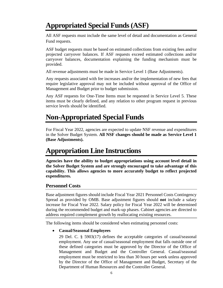# **Appropriated Special Funds (ASF)**

All ASF requests must include the same level of detail and documentation as General Fund requests.

ASF budget requests must be based on estimated collections from existing fees and/or projected carryover balances. If ASF requests exceed estimated collections and/or carryover balances, documentation explaining the funding mechanism must be provided.

All revenue adjustments must be made in Service Level 1 (Base Adjustments).

Any requests associated with fee increases and/or the implementation of new fees that require legislative approval may not be included without approval of the Office of Management and Budget prior to budget submission.

Any ASF requests for One-Time Items must be requested in Service Level 5. These items must be clearly defined, and any relation to other program request in previous service levels should be identified.

# **Non-Appropriated Special Funds**

For Fiscal Year 2022, agencies are expected to update NSF revenue and expenditures in the Solver Budget System. **All NSF changes should be made as Service Level 1 (Base Adjustments).**

# **Appropriation Line Instructions**

**Agencies have the ability to budget appropriations using account level detail in the Solver Budget System and are strongly encouraged to take advantage of this capability. This allows agencies to more accurately budget to reflect projected expenditures.**

### **Personnel Costs**

Base adjustment figures should include Fiscal Year 2021 Personnel Costs Contingency Spread as provided by OMB. Base adjustment figures should **not** include a salary increase for Fiscal Year 2022. Salary policy for Fiscal Year 2022 will be determined during the recommended budget and mark-up phases. Cabinet agencies are directed to address required complement growth by reallocating existing resources.

The following items should be considered when estimating personnel costs:

### • **Casual/Seasonal Employees**

29 Del. C. § 5903(17) defines the acceptable categories of casual/seasonal employment. Any use of casual/seasonal employment that falls outside one of these defined categories must be approved by the Director of the Office of Management and Budget and the Controller General. Casual/seasonal employment must be restricted to less than 30 hours per week unless approved by the Director of the Office of Management and Budget, Secretary of the Department of Human Resources and the Controller General.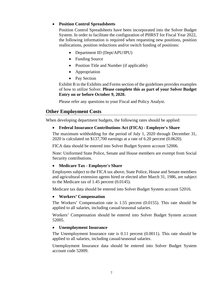### • **Position Control Spreadsheets**

Position Control Spreadsheets have been incorporated into the Solver Budget System. In order to facilitate the configuration of PHRST for Fiscal Year 2022, the following information is required when requesting new positions, position reallocations, position reductions and/or switch funding of positions:

- Department ID (Dept/APU/IPU)
- Funding Source
- Position Title and Number (if applicable)
- Appropriation
- Pay Section

Exhibit B in the Exhibits and Forms section of the guidelines provides examples of how to utilize Solver. **Please complete this as part of your Solver Budget Entry on or before October 9, 2020.**

Please refer any questions to your Fiscal and Policy Analyst.

### **Other Employment Costs**

When developing department budgets, the following rates should be applied:

### • **Federal Insurance Contributions Act (FICA) - Employer's Share**

The maximum withholding for the period of July 1, 2020 through December 31, 2020 is calculated on \$137,700 earnings at a rate of 6.20 percent (0.0620).

FICA data should be entered into Solver Budget System account 52006.

Note: Uniformed State Police, Senate and House members are exempt from Social Security contributions.

### • **Medicare Tax - Employer's Share**

Employees subject to the FICA tax above, State Police, House and Senate members and agricultural extension agents hired or elected after March 31, 1986, are subject to the Medicare tax of 1.45 percent (0.0145).

Medicare tax data should be entered into Solver Budget System account 52016.

### • **Workers' Compensation**

The Workers' Compensation rate is 1.55 percent (0.0155). This rate should be applied to all salaries, including casual/seasonal salaries.

Workers' Compensation should be entered into Solver Budget System account 52005.

### • **Unemployment Insurance**

The Unemployment Insurance rate is 0.11 percent (0.0011). This rate should be applied to all salaries, including casual/seasonal salaries.

Unemployment Insurance data should be entered into Solver Budget System account code 52009.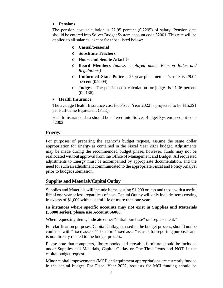### • **Pensions**

The pension cost calculation is 22.95 percent (0.2295) of salary. Pension data should be entered into Solver Budget System account code 52001. This rate will be applied to all salaries, except for those listed below:

- o **Casual/Seasonal**
- o **Substitute Teachers**
- o **House and Senate Attachés**
- o **Board Members** *(unless employed under Pension Rules and Regulations)*
- o **Uniformed State Police**  25-year-plan member's rate is 29.04 percent (0.2904)
- o **Judges**  The pension cost calculation for judges is 21.36 percent (0.2136)
- **Health Insurance**

The average Health Insurance cost for Fiscal Year 2022 is projected to be \$15,391 per Full-Time Equivalent (FTE).

Health Insurance data should be entered into Solver Budget System account code 52002.

### **Energy**

For purposes of preparing the agency's budget request, assume the same dollar appropriation for Energy as contained in the Fiscal Year 2021 budget. Adjustments may be made during the recommended budget phase; however, funds may not be reallocated without approval from the Office of Management and Budget. All requested adjustments to Energy must be accompanied by appropriate documentation, and the need for such an adjustment communicated to the appropriate Fiscal and Policy Analyst prior to budget submission.

### **Supplies and Materials/Capital Outlay**

Supplies and Materials will include items costing \$1,000 or less and those with a useful life of one year or less, regardless of cost. Capital Outlay will only include items costing in excess of \$1,000 with a useful life of more than one year.

### **In instances where specific accounts may not exist in Supplies and Materials (56000 series), please use Account 56000.**

When requesting items, indicate either "initial purchase" or "replacement."

For clarification purposes, Capital Outlay, as used in the budget process, should not be confused with "fixed assets." The term "fixed asset" is used for reporting purposes and is not directly related to the budget process.

Please note that computers, library books and movable furniture should be included under Supplies and Materials, Capital Outlay or One-Time Items and **NOT** in the capital budget request.

Minor capital improvements (MCI) and equipment appropriations are currently funded in the capital budget. For Fiscal Year 2022, requests for MCI funding should be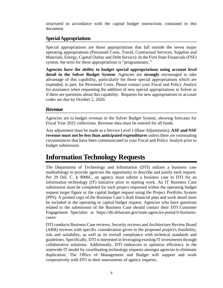structured in accordance with the capital budget instructions contained in this document.

### **Special Appropriations**

Special appropriations are those appropriations that fall outside the seven major operating appropriations (Personnel Costs, Travel, Contractual Services, Supplies and Materials, Energy, Capital Outlay and Debt Service). In the First State Financials (FSF) system, the term for these appropriations is "programmatic."

**Agencies have the ability to budget special appropriations using account level detail in the Solver Budget System**. Agencies are **strongly** encouraged to take advantage of this capability, particularly for those special appropriations which are expended, in part, for Personnel Costs. Please contact your Fiscal and Policy Analyst for assistance when requesting the addition of new special appropriations in Solver or if there are questions about this capability. Requests for new appropriations or account codes are due by October 2, 2020.

### **Revenue**

Agencies are to budget revenue in the Solver Budget System, showing forecasts for Fiscal Year 2022 collections*.* Revenue data must be entered for all funds.

Any adjustment must be made as a Service Level 1 (Base Adjustments). **ASF and NSF revenue must not be less than anticipated expenditures** unless there are extenuating circumstances that have been communicated to your Fiscal and Policy Analyst prior to budget submission.

# **Information Technology Requests**

The Department of Technology and Information (DTI) utilizes a business case methodology to provide agencies the opportunity to describe and justify each request. Per 29 Del. C. § 9006C, an agency must submit a business case to DTI for an information technology (IT) initiative prior to starting work. An IT Business Case submission must be completed for each project requested within the operating budget request target figure or the capital budget request using the Project Portfolio System (PPS). A printed copy of the Business Case's draft financial plan and work detail must be included in the operating or capital budget request. Agencies who have questions related to the submission of the Business Case should contact their DTI Customer Engagement Specialist at [https://dti.delaware.gov/state-agencies-portal/it-business](https://dti.delaware.gov/state-agencies-portal/it-business-cases/)[cases/](https://dti.delaware.gov/state-agencies-portal/it-business-cases/)

DTI conducts Business Case reviews, Security reviews and Architecture Review Board (ARB) reviews with specific consideration given to the proposed project's feasibility, risk and suitability, as well as its overall compliance with technical standards and guidelines. Specifically, DTI is interested in leveraging existing IT investments through collaborative solutions. Additionally, DTI endeavors to optimize efficiency in the statewide IT model by coordinating technology requests amongst agencies to eliminate duplication. The Office of Management and Budget will support and work cooperatively with DTI in their assessments of agency requests.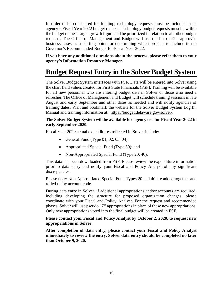In order to be considered for funding, technology requests must be included in an agency's Fiscal Year 2022 budget request. Technology budget requests must be within the budget request target growth figure and be prioritized in relation to all other budget requests. The Office of Management and Budget will use the list of DTI approved business cases as a starting point for determining which projects to include in the Governor's Recommended Budget for Fiscal Year 2022.

**If you have any additional questions about the process, please refer them to your agency's Information Resource Manager.**

# **Budget Request Entry in the Solver Budget System**

The Solver Budget System interfaces with FSF. Data will be entered into Solver using the chart field values created for First State Financials (FSF). Training will be available for all new personnel who are entering budget data in Solver or those who need a refresher. The Office of Management and Budget will schedule training sessions in late August and early September and other dates as needed and will notify agencies of training dates. Visit and bookmark the website for the Solver Budget System Log In, Manual and training information at: [https://budget.delaware.gov/solver/.](https://budget.delaware.gov/solver/)

### **The Solver Budget System will be available for agency use for Fiscal Year 2022 in early September 2020.**

Fiscal Year 2020 actual expenditures reflected in Solver include:

- General Fund (Type  $01, 02, 03, 04$ );
- Appropriated Special Fund (Type 30); and
- Non-Appropriated Special Fund (Type 20, 40).

This data has been downloaded from FSF. Please review the expenditure information prior to data entry and notify your Fiscal and Policy Analyst of any significant discrepancies.

Please note: Non-Appropriated Special Fund Types 20 and 40 are added together and rolled up by account code.

During data entry in Solver, if additional appropriations and/or accounts are required, including developing the structure for proposed organization changes, please coordinate with your Fiscal and Policy Analyst. For the request and recommended phases, Solver will use pseudo "Z" appropriations in place of these new appropriations. Only new appropriations voted into the final budget will be created in FSF.

**Please contact your Fiscal and Policy Analyst by October 2, 2020, to request new appropriations in Solver.**

**After completion of data entry, please contact your Fiscal and Policy Analyst immediately to review the entry. Solver data entry should be completed no later than October 9, 2020.**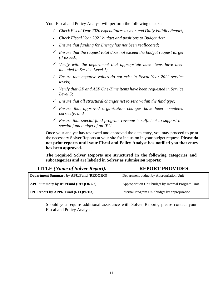Your Fiscal and Policy Analyst will perform the following checks:

- *Check Fiscal Year 2020 expenditures to year-end Daily Validity Report;*
- *Check Fiscal Year 2021 budget and positions to Budget Act;*
- *Ensure that funding for Energy has not been reallocated;*
- *Ensure that the request total does not exceed the budget request target (if issued);*
- *Verify with the department that appropriate base items have been included in Service Level 1;*
- *Ensure that negative values do not exist in Fiscal Year 2022 service levels;*
- *Verify that GF and ASF One-Time items have been requested in Service Level 5;*
- *Ensure that all structural changes net to zero within the fund type;*
- *Ensure that approved organization changes have been completed correctly; and*
- *Ensure that special fund program revenue is sufficient to support the special fund budget of an IPU.*

Once your analyst has reviewed and approved the data entry, you may proceed to print the necessary Solver Reports at your site for inclusion in your budget request. **Please do not print reports until your Fiscal and Policy Analyst has notified you that entry has been approved.**

**The required Solver Reports are structured in the following categories and subcategories and are labeled in Solver as submission reports:**

| <b>TITLE</b> (Name of Solver Report):          | <b>REPORT PROVIDES:</b>                            |
|------------------------------------------------|----------------------------------------------------|
| <b>Department Summary by APU/Fund (REQORG)</b> | Department budget by Appropriation Unit            |
| APU Summary by IPU/Fund (REQORG2)              | Appropriation Unit budget by Internal Program Unit |
| <b>IPU Report by APPR/Fund (REQPRD3)</b>       | Internal Program Unit budget by appropriation      |

Should you require additional assistance with Solver Reports, please contact your Fiscal and Policy Analyst.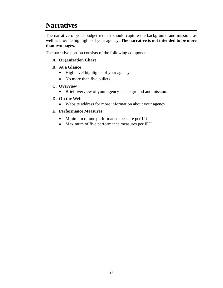# **Narratives**

The narrative of your budget request should capture the background and mission, as well as provide highlights of your agency. **The narrative is not intended to be more than two pages.**

The narrative portion consists of the following components:

### **A. Organization Chart**

### **B. At a Glance**

- High level highlights of your agency.
- No more than five bullets.

### **C. Overview**

• Brief overview of your agency's background and mission.

### **D. On the Web**

• Website address for more information about your agency.

### **E. Performance Measures**

- Minimum of one performance measure per IPU.
- Maximum of five performance measures per IPU.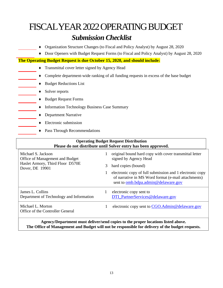# FISCAL YEAR2022OPERATING BUDGET

# *Submission Checklist*

- ♦ Organization Structure Changes (to Fiscal and Policy Analyst) by August 28, 2020
- ♦ Door Openers with Budget Request Forms (to Fiscal and Policy Analyst) by August 28, 2020

### **The Operating Budget Request is due October 15, 2020, and should include:**

- ♦ Transmittal cover letter signed by Agency Head
- ♦ Complete department-wide ranking of all funding requests in excess of the base budget
- ♦ Budget Reductions List
- ♦ Solver reports
	- ♦ Budget Request Forms
- ♦ Information Technology Business Case Summary
	- ♦ Department Narrative
	- $\triangleleft$  Electronic submission
	- ♦ Pass Through Recommendations

#### **Operating Budget Request Distribution Please do not distribute until Solver entry has been approved.** Michael S. Jackson Office of Management and Budget Haslet Armory, Third Floor D570E Dover, DE 19901 1 original bound hard copy with cover transmittal letter signed by Agency Head 3 hard copies (bound) 1 electronic copy of full submission and 1 electronic copy of narrative in MS Word format (e-mail attachments) sent to omb.bdpa.admin@delaware.gov James L. Collins Department of Technology and Information 1 electronic copy sent to [DTI\\_PartnerServices@delaware.gov](mailto:DTI_PartnerServices@delaware.gov) Michael L. Morton Office of the Controller General 1 electronic copy sent to CGO.Admin@delaware.gov

**Agency/Department must deliver/send copies to the proper locations listed above. The Office of Management and Budget will not be responsible for delivery of the budget requests.**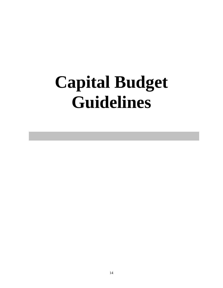# **Capital Budget Guidelines**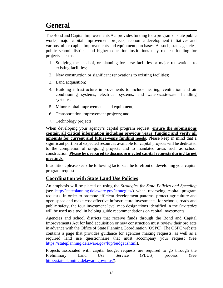# **General**

The Bond and Capital Improvements Act provides funding for a program of state public works, major capital improvement projects, economic development initiatives and various minor capital improvements and equipment purchases. As such, state agencies, public school districts and higher education institutions may request funding for projects such as:

- 1. Studying the need of, or planning for, new facilities or major renovations to existing facilities;
- 2. New construction or significant renovations to existing facilities;
- 3. Land acquisition;
- 4. Building infrastructure improvements to include heating, ventilation and air conditioning systems; electrical systems; and water/wastewater handling systems;
- 5. Minor capital improvements and equipment;
- 6. Transportation improvement projects; and
- 7. Technology projects.

When developing your agency's capital program request, **ensure the submissions contain all critical information including previous years' funding and verify all amounts for current and future-years funding needs**. Please keep in mind that a significant portion of expected resources available for capital projects will be dedicated to the completion of on-going projects and to mandated areas such as school construction. **Please be prepared to discuss projected capital requests during target meetings.**

In addition, please keep the following factors at the forefront of developing your capital program request:

### **Coordination with State Land Use Policies**

An emphasis will be placed on using the *Strategies for State Policies and Spending* (see [http://stateplanning.delaware.gov/strategies/\)](http://stateplanning.delaware.gov/strategies/) when reviewing capital program requests. In order to promote efficient development patterns, protect agriculture and open space and make cost-effective infrastructure investments, for schools, roads and public safety, the four investment level map designations identified in the *Strategies* will be used as a tool in helping guide recommendations on capital investments.

Agencies and school districts that receive funds through the Bond and Capital Improvements Act for land acquisition or new construction must review their projects in advance with the Office of State Planning Coordination (OSPC). The OSPC website contains a page that provides guidance for agencies making requests, as well as a required land use questionnaire that must accompany your request (See [https://stateplanning.delaware.gov/lup/budget.shtml\)](https://stateplanning.delaware.gov/lup/budget.shtml).

Projects associated with capital budget requests are required to go through the Preliminary Land Use Service (PLUS) process (See [http://stateplanning.delaware.gov/plus/\)](http://stateplanning.delaware.gov/plus/).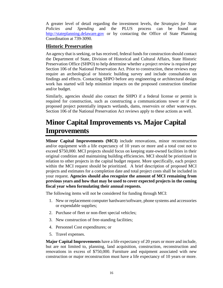A greater level of detail regarding the investment levels, the *Strategies for State Policies and Spending* and the PLUS process can be found at [http://stateplanning.delaware.gov](http://stateplanning.delaware.gov/) or by contacting the Office of State Planning Coordination at 739-3090.

### **Historic Preservation**

An agency that is seeking, or has received, federal funds for construction should contact the Department of State, Division of Historical and Cultural Affairs, State Historic Preservation Office (SHPO) to help determine whether a project review is required per Section 106 of the National Preservation Act. Prior to construction, these reviews may require an archeological or historic building survey and include consultation on findings and effects. Contacting SHPO before any engineering or architectural design work has started will help minimize impacts on the proposed construction timeline and/or budget.

Similarly, agencies should also contact the SHPO if a federal license or permit is required for construction, such as constructing a communications tower or if the proposed project potentially impacts wetlands, dams, reservoirs or other waterways. Section 106 of the National Preservation Act reviews apply to these actions as well.

# **Minor Capital Improvements vs. Major Capital Improvements**

**Minor Capital Improvements (MCI)** include renovations, minor reconstruction and/or equipment with a life expectancy of 10 years or more and a total cost not to exceed \$750,000. MCI projects should focus on keeping state-owned facilities in their original condition and maintaining building efficiencies. MCI should be prioritized in relation to other projects in the capital budget request. More specifically, each project within the MCI request should be prioritized. A brief description of proposed MCI projects and estimates for a completion date and total project costs shall be included in your request. **Agencies should also recognize the amount of MCI remaining from previous years and how that may be used to cover expected projects in the coming fiscal year when formulating their annual requests.**

The following items will not be considered for funding through MCI:

- 1. New or replacement computer hardware/software, phone systems and accessories or expendable supplies;
- 2. Purchase of fleet or non-fleet special vehicles;
- 3. New construction of free-standing facilities;
- 4. Personnel Cost expenditures; or
- 5. Travel expenses.

**Major Capital Improvements** have a life expectancy of 20 years or more and include, but are not limited to, planning, land acquisition, construction, reconstruction and renovations in excess of \$750,000. Furniture and equipment associated with new construction or major reconstruction must have a life expectancy of 10 years or more.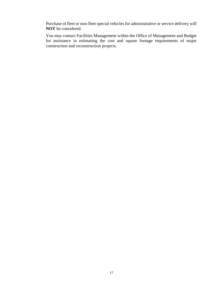Purchase of fleet or non-fleet special vehicles for administrative or service delivery will **NOT** be considered.

You may contact Facilities Management within the Office of Management and Budget for assistance in estimating the cost and square footage requirements of major construction and reconstruction projects.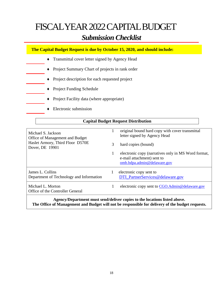# FISCAL YEAR2022CAPITAL BUDGET

# *Submission Checklist*

**The Capital Budget Request is due by October 15, 2020, and should include:**

- ♦ Transmittal cover letter signed by Agency Head
- ♦ Project Summary Chart of projects in rank order
- ♦ Project description for each requested project
- ♦ Project Funding Schedule
- ♦ Project Facility data (where appropriate)
- $\triangle$  Electronic submission

### **Capital Budget Request Distribution**

| Michael S. Jackson<br>Office of Management and Budget        | 1 | original bound hard copy with cover transmittal<br>letter signed by Agency Head                                  |
|--------------------------------------------------------------|---|------------------------------------------------------------------------------------------------------------------|
| Haslet Armory, Third Floor D570E<br>Dover, DE 19901          | 3 | hard copies (bound)                                                                                              |
|                                                              | 1 | electronic copy (narratives only in MS Word format,<br>e-mail attachment) sent to<br>omb.bdpa.admin@delaware.gov |
| James L. Collins<br>Department of Technology and Information |   | electronic copy sent to<br>DTI_PartnerServices@delaware.gov                                                      |
| Michael L. Morton<br>Office of the Controller General        |   | electronic copy sent to CGO.Admin@delaware.gov                                                                   |
|                                                              |   |                                                                                                                  |

**Agency/Department must send/deliver copies to the locations listed above. The Office of Management and Budget will not be responsible for delivery of the budget requests.**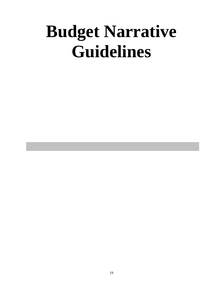# **Budget Narrative Guidelines**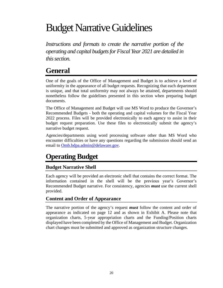# Budget Narrative Guidelines

*Instructions and formats to create the narrative portion of the operating and capital budgets for Fiscal Year 2021 are detailed in this section.*

# **General**

One of the goals of the Office of Management and Budget is to achieve a level of uniformity in the appearance of all budget requests. Recognizing that each department is unique, and that total uniformity may not always be attained, departments should nonetheless follow the guidelines presented in this section when preparing budget documents.

The Office of Management and Budget will use MS Word to produce the Governor's Recommended Budgets - both the operating and capital volumes for the Fiscal Year 2022 process. Files will be provided electronically to each agency to assist in their budget request preparation. Use these files to electronically submit the agency's narrative budget request.

Agencies/departments using word processing software other than MS Word who encounter difficulties or have any questions regarding the submission should send an email to Omb.bdpa.admin@delaware.gov.

# **Operating Budget**

### **Budget Narrative Shell**

Each agency will be provided an electronic shell that contains the correct format. The information contained in the shell will be the previous year's Governor's Recommended Budget narrative. For consistency, agencies *must* use the current shell provided.

### **Content and Order of Appearance**

The narrative portion of the agency's request *must* follow the content and order of appearance as indicated on page 12 and as shown in Exhibit A. Please note that organization charts, 5-year appropriation charts and the Funding/Position charts displayed have been completed by the Office of Management and Budget. Organization chart changes must be submitted and approved as organization structure changes.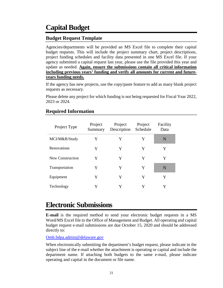# **Capital Budget**

### **Budget Request Template**

Agencies/departments will be provided an MS Excel file to complete their capital budget requests. This will include the project summary chart, project descriptions, project funding schedules and facility data presented in one MS Excel file. If your agency submitted a capital request last year, please use the file provided this year and update as needed. **Again, ensure the submissions contain all critical information including previous years' funding and verify all amounts for current and futureyears funding needs.**

If the agency has new projects, use the copy/paste feature to add as many blank project requests as necessary.

Please delete any project for which funding is not being requested for Fiscal Year 2022, 2023 or 2024.

| Project Type     | Project<br>Summary | Project<br>Description | Project<br>Schedule | Facility<br>Data |
|------------------|--------------------|------------------------|---------------------|------------------|
| MCI/M&R/Study    | Y                  | Y                      | Y                   | N                |
| Renovations      | Y                  | Y                      | Y                   | Y                |
| New Construction | Y                  | Y                      | Y                   | Y                |
| Transportation   | Y                  | Y                      | Y                   | N                |
| Equipment        | Y                  | Y                      | Y                   | Y                |
| Technology       | Y                  | Y                      | Y                   |                  |

### **Required Information**

# **Electronic Submissions**

**E-mail** is the required method to send your electronic budget requests in a MS Word/MS Excel file to the Office of Management and Budget. All operating and capital budget request e-mail submissions are due October 15, 2020 and should be addressed directly to:

Omb.bdpa.admin@delaware.gov

When electronically submitting the department's budget request, please indicate in the subject line of the e-mail whether the attachment is operating or capital and include the department name. If attaching both budgets to the same e-mail, please indicate operating and capital in the document or file name.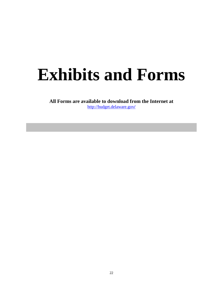# **Exhibits and Forms**

**All Forms are available to download from the Internet at**  [http://budget.delaware.gov](http://budget.delaware.gov/)**/**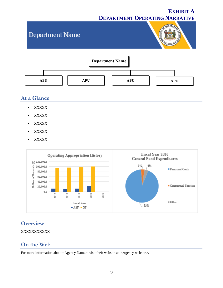## **EXHIBIT A DEPARTMENT OPERATING NARRATIVE**

# THE STATE Department Name **Department Name APU APU APU APU**

## **At a Glance**

- XXXXX
- XXXXX
- XXXXX
- XXXXX
- XXXXX



### **Overview**

### XXXXXXXXXXX

## **On the Web**

For more information about [<Agency](http://omb.delaware.gov/) Name>, visit their website at: <Agency website>.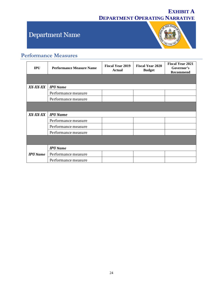# **EXHIBIT A DEPARTMENT OPERATING NARRATIVE**

# Department Name



# **Performance Measures**

| <b>IPU</b>      | <b>Performance Measure Name</b> | <b>Fiscal Year 2019</b><br><b>Actual</b> | <b>Fiscal Year 2020</b><br><b>Budget</b> | <b>Fiscal Year 2021</b><br>Governor's<br><b>Recommend</b> |
|-----------------|---------------------------------|------------------------------------------|------------------------------------------|-----------------------------------------------------------|
|                 |                                 |                                          |                                          |                                                           |
| XX-XX-XX        | <b>IPU</b> Name                 |                                          |                                          |                                                           |
|                 | Performance measure             |                                          |                                          |                                                           |
|                 | Performance measure             |                                          |                                          |                                                           |
|                 |                                 |                                          |                                          |                                                           |
| XX-XX-XX        | <b>IPU Name</b>                 |                                          |                                          |                                                           |
|                 | Performance measure             |                                          |                                          |                                                           |
|                 | Performance measure             |                                          |                                          |                                                           |
|                 | Performance measure             |                                          |                                          |                                                           |
|                 |                                 |                                          |                                          |                                                           |
|                 | <b>IPU</b> Name                 |                                          |                                          |                                                           |
| <b>IPU</b> Name | Performance measure             |                                          |                                          |                                                           |
|                 | Performance measure             |                                          |                                          |                                                           |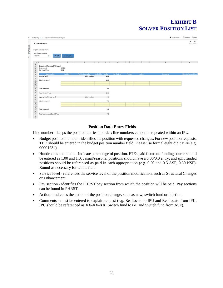# **EXHIBIT B SOLVER POSITION LIST**

|                        | <b>B.</b> Data Warehouse                 |                    |                                                  |                   |          |               |          |   |        |                                     |                 |                               | v<br>s<br>EDIT ASSIGN III      |
|------------------------|------------------------------------------|--------------------|--------------------------------------------------|-------------------|----------|---------------|----------|---|--------|-------------------------------------|-----------------|-------------------------------|--------------------------------|
|                        | Report parameters *                      |                    |                                                  |                   |          |               |          |   |        |                                     |                 |                               |                                |
|                        | CHOOSE DEPARTMENT                        |                    |                                                  |                   |          |               |          |   |        |                                     |                 |                               |                                |
| 100210                 | $\alpha$<br>R                            | <b>H</b> SAVE DATA |                                                  |                   |          |               |          |   |        |                                     |                 |                               |                                |
| $-1$ H                 | the contract of the contract of the con- | $\overline{1}$     | $K$ and $L$<br>and the state of the state of the |                   | M        | N             |          | P | 来      | the contract of the contract of the | $\cup$          | the control of the control of | $\vee$                         |
| $1\,$                  | <b>Department Requested FTE Budget</b>   |                    |                                                  |                   |          |               |          |   |        |                                     |                 |                               |                                |
| $\ddot{\text{2}}$<br>3 | Department:                              | 100210             |                                                  |                   |          |               |          |   |        |                                     |                 |                               |                                |
| $\mathbf{g}$           | For Budget Year:                         | 2022               |                                                  |                   |          |               |          |   |        |                                     |                 |                               |                                |
| $\overline{9}$         |                                          |                    |                                                  |                   |          |               |          |   |        |                                     |                 |                               |                                |
| 10                     | Appropriation                            | Position #         | <b>Position Description</b>                      | Hundredths Tenths |          | Service Level | Pay Sect |   | Action |                                     | <b>Comments</b> |                               | <b>Alternate Appropriation</b> |
| $11\,$                 | <b>General Fund</b>                      |                    | 2021 Positions                                   |                   | 18.5     |               |          |   |        |                                     |                 |                               |                                |
| $12$                   |                                          |                    |                                                  |                   |          |               |          |   |        |                                     |                 |                               |                                |
| $\frac{13}{18}$        | 00137-Personnel                          |                    |                                                  |                   | 18.5     |               |          |   |        |                                     |                 |                               |                                |
| $15\,$                 |                                          |                    |                                                  |                   |          |               |          |   |        |                                     |                 |                               |                                |
| 16                     |                                          |                    |                                                  |                   |          |               |          |   |        |                                     |                 |                               |                                |
| $17\,$<br>18           | <b>Total Personnel</b>                   |                    |                                                  |                   | 0,0      |               |          |   |        |                                     |                 |                               |                                |
| 19                     |                                          |                    |                                                  |                   |          |               |          |   |        |                                     |                 |                               |                                |
| 20                     | <b>Total General Fund</b>                |                    |                                                  |                   | 18.5     |               |          |   |        |                                     |                 |                               |                                |
| 21                     |                                          |                    |                                                  |                   |          |               |          |   |        |                                     |                 |                               |                                |
| $\bf{22}$              | <b>Appropriated Special Fund</b>         |                    | 2021 Positions                                   |                   | 7.5      |               |          |   |        |                                     |                 |                               |                                |
| 23                     |                                          |                    |                                                  |                   |          |               |          |   |        |                                     |                 |                               |                                |
| $\frac{24}{n}$         | 09102-Personnel                          |                    |                                                  |                   | 7.5      |               |          |   |        |                                     |                 |                               |                                |
| 26                     |                                          |                    |                                                  |                   |          |               |          |   |        |                                     |                 |                               |                                |
| 27                     |                                          |                    |                                                  |                   |          |               |          |   |        |                                     |                 |                               |                                |
| 28                     | <b>Total Personnel</b>                   |                    |                                                  |                   | $_{0.0}$ |               |          |   |        |                                     |                 |                               |                                |
| 29<br>30               |                                          |                    |                                                  |                   |          |               |          |   |        |                                     |                 |                               |                                |
| 31                     |                                          |                    |                                                  |                   |          |               |          |   |        |                                     |                 |                               |                                |
| -                      | <b>Total Appropriated Special Fund</b>   |                    |                                                  |                   | 7.5      |               |          |   |        |                                     |                 |                               |                                |
| 32                     |                                          |                    |                                                  |                   |          |               |          |   |        |                                     |                 |                               |                                |

### **Position Data Entry Fields**

Line number - keeps the position entries in order; line numbers cannot be repeated within an IPU.

- Budget position number identifies the position with requested changes. For new position requests, TBD should be entered in the budget position number field. Please use formal eight digit BP# (e.g. 00001234).
- Hundredths and tenths indicate percentage of position. FTEs paid from one funding source should be entered as 1.00 and 1.0; casual/seasonal positions should have a 0.00/0.0 entry; and split funded positions should be referenced as paid in each appropriation (e.g. 0.50 and 0.5 ASF, 0.50 NSF). Round as necessary for tenths field.
- Service level references the service level of the position modification, such as Structural Changes or Enhancement.
- Pay section identifies the PHRST pay section from which the position will be paid. Pay sections can be found in PHRST.
- Action indicates the action of the position change, such as new, switch fund or deletion.
- Comments must be entered to explain request (e.g. Reallocate to IPU and Reallocate from IPU, IPU should be referenced as XX-XX-XX; Switch fund to GF and Switch fund from ASF).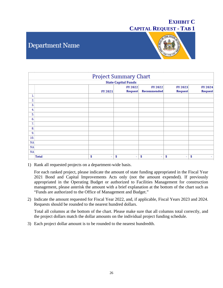# **Department Name**



|     |              |                | <b>Project Summary Chart</b>   |                                |                |                |
|-----|--------------|----------------|--------------------------------|--------------------------------|----------------|----------------|
|     |              |                | <b>State Capital Funds</b>     |                                |                |                |
|     |              |                | <b>FY 2022</b>                 | <b>FY 2022</b>                 | <b>FY 2023</b> | <b>FY 2024</b> |
|     |              | <b>FY 2021</b> | Request                        | Recommended                    | Request        | Request        |
| 1.  |              |                |                                |                                |                |                |
| 2.  |              |                |                                |                                |                |                |
| 3.  |              |                |                                |                                |                |                |
| 4.  |              |                |                                |                                |                |                |
| 5.  |              |                |                                |                                |                |                |
| 6.  |              |                |                                |                                |                |                |
| 7.  |              |                |                                |                                |                |                |
| 8.  |              |                |                                |                                |                |                |
| 9.  |              |                |                                |                                |                |                |
| 10. |              |                |                                |                                |                |                |
| NA  |              |                |                                |                                |                |                |
| NA  |              |                |                                |                                |                |                |
| NA  |              |                |                                |                                |                |                |
|     | <b>Total</b> | \$<br>٠        | \$<br>$\overline{\phantom{a}}$ | \$<br>$\overline{\phantom{a}}$ | \$<br>٠        | \$<br>$\sim$   |

1) Rank all requested projects on a department-wide basis.

For each ranked project, please indicate the amount of state funding appropriated in the Fiscal Year 2021 Bond and Capital Improvements Acts only (not the amount expended). If previously appropriated in the Operating Budget or authorized to Facilities Management for construction management, please asterisk the amount with a brief explanation at the bottom of the chart such as "Funds are authorized to the Office of Management and Budget."

2) Indicate the amount requested for Fiscal Year 2022, and, if applicable, Fiscal Years 2023 and 2024. Requests should be rounded to the nearest hundred dollars.

Total all columns at the bottom of the chart. Please make sure that all columns total correctly, and the project dollars match the dollar amounts on the individual project funding schedule.

3) Each project dollar amount is to be rounded to the nearest hundredth.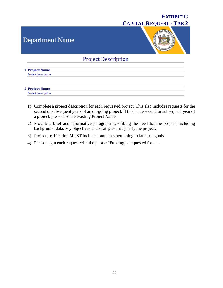# **Department Name**



### **Project Description**

| 1 Project Name      |
|---------------------|
| Project description |
|                     |
|                     |
|                     |
| 2 Project Name      |

- 1) Complete a project description for each requested project. This also includes requests for the second or subsequent years of an on-going project. If this is the second or subsequent year of a project, please use the existing Project Name.
- 2) Provide a brief and informative paragraph describing the need for the project, including background data, key objectives and strategies that justify the project.
- 3) Project justification MUST include comments pertaining to land use goals.
- 4) Please begin each request with the phrase "Funding is requested for…".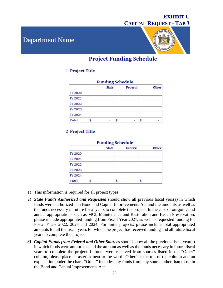# **Department Name**



# **Project Funding Schedule**

### 1 Project Title

| <b>Funding Schedule</b> |  |              |         |              |  |  |  |
|-------------------------|--|--------------|---------|--------------|--|--|--|
|                         |  | <b>State</b> | Federal | <b>Other</b> |  |  |  |
| FY 2020                 |  |              |         |              |  |  |  |
| FY 2021                 |  |              |         |              |  |  |  |
| FY 2022                 |  |              |         |              |  |  |  |
| FY 2023                 |  |              |         |              |  |  |  |
| FY 2024                 |  |              |         |              |  |  |  |
| <b>Total</b>            |  |              |         |              |  |  |  |

### 2 Project Title

| <b>Funding Schedule</b> |  |              |         |              |  |  |  |
|-------------------------|--|--------------|---------|--------------|--|--|--|
|                         |  | <b>State</b> | Federal | <b>Other</b> |  |  |  |
| FY 2020                 |  |              |         |              |  |  |  |
| FY 2021                 |  |              |         |              |  |  |  |
| FY 2022                 |  |              |         |              |  |  |  |
| FY 2023                 |  |              |         |              |  |  |  |
| FY 2024                 |  |              |         |              |  |  |  |
| <b>Total</b>            |  |              |         |              |  |  |  |

- 1) This information is required for all project types.
- 2) *State Funds Authorized and Requested* should show all previous fiscal year(s) in which funds were authorized in a Bond and Capital Improvements Act and the amounts as well as the funds necessary in future fiscal years to complete the project. In the case of on-going and annual appropriations such as MCI, Maintenance and Restoration and Beach Preservation, please include appropriated funding from Fiscal Year 2021, as well as requested funding for Fiscal Years 2022, 2023 and 2024. For finite projects, please include total appropriated amounts for all the fiscal years for which the project has received funding and all future fiscal years to complete the project.
- *3) Capital Funds from Federal and Other Sources* should show all the previous fiscal year(s) in which funds were authorized and the amount as well as the funds necessary in future fiscal years to complete the project. If funds were received from sources listed in the "Other" column, please place an asterisk next to the word "Other" at the top of the column and an explanation under the chart. "Other" includes any funds from any source other than those in the Bond and Capital Improvements Act.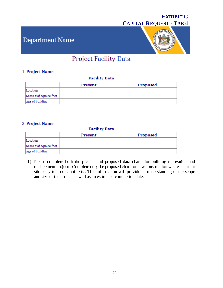# Department Name



# **Project Facility Data**

### 1 Project Name

### **Facility Data**

|                        | <b>Present</b> | <b>Proposed</b> |
|------------------------|----------------|-----------------|
| Location               |                |                 |
| Gross # of square feet |                |                 |
| Age of building        |                |                 |

### 2 Project Name

### **Facility Data**

|                        | Present | Proposed |
|------------------------|---------|----------|
| Location               |         |          |
| Gross # of square feet |         |          |
| Age of building        |         |          |

1) Please complete both the present and proposed data charts for building renovation and replacement projects. Complete only the proposed chart for new construction where a current site or system does not exist. This information will provide an understanding of the scope and size of the project as well as an estimated completion date.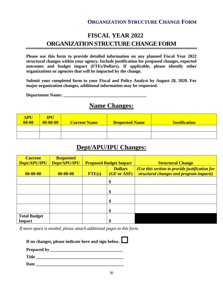### **ORGANIZATION STRUCTURE CHANGE FORM**

# **FISCAL YEAR 2022 ORGANIZATION STRUCTURE CHANGE FORM**

**Please use this form to provide detailed information on any planned Fiscal Year 2022 structural changes within your agency. Include justification for proposed changes, expected outcomes and budget impact (FTEs/Dollars). If applicable, please identify other organizations or agencies that will be impacted by the change.** 

**Submit your completed form to your Fiscal and Policy Analyst by August 28, 2020. For major organization changes, additional information may be requested.**

**Department Name: \_\_\_\_\_\_\_\_\_\_\_\_\_\_\_\_\_\_\_\_\_\_\_\_\_\_\_\_\_\_\_\_\_\_\_\_\_\_**

# **Name Changes:**

| APU<br>$00 - 00$ | <b>IPU</b><br>$00 - 00 - 00$ | <b>Current Name</b> | <b>Requested Name</b> | <b>Justification</b> |
|------------------|------------------------------|---------------------|-----------------------|----------------------|
|                  |                              |                     |                       |                      |
|                  |                              |                     |                       |                      |

# **Dept/APU/IPU Changes:**

| <b>Current</b><br>Dept/APU/IPU       | <b>Requested</b><br>Dept/APU/IPU | <b>Proposed Budget Impact</b> |                               | <b>Structural Change</b>                                                                  |
|--------------------------------------|----------------------------------|-------------------------------|-------------------------------|-------------------------------------------------------------------------------------------|
| $00 - 00 - 00$                       | $00 - 00 - 00$                   | $FTE(s)$                      | <b>Dollars</b><br>(GF or ASF) | (Use this section to provide justification for<br>structural changes and program impacts) |
|                                      |                                  |                               | \$                            |                                                                                           |
|                                      |                                  |                               | \$                            |                                                                                           |
|                                      |                                  |                               | \$                            |                                                                                           |
|                                      |                                  |                               | \$                            |                                                                                           |
| <b>Total Budget</b><br><b>Impact</b> |                                  |                               | \$                            |                                                                                           |

*If more space is needed, please attach additional pages to this form.*

| If no changes, please indicate here and sign below. $\Box$ |  |
|------------------------------------------------------------|--|
|------------------------------------------------------------|--|

**Prepared by \_\_\_\_\_\_\_\_\_\_\_\_\_\_\_\_\_\_\_\_\_\_\_\_\_\_\_\_\_\_\_\_\_**

Title **The Community of the Community Community**  $\mathbf{C} = \mathbf{C} \mathbf{C} \mathbf{C} \mathbf{C} \mathbf{C} \mathbf{C} \mathbf{C} \mathbf{C} \mathbf{C} \mathbf{C} \mathbf{C} \mathbf{C} \mathbf{C} \mathbf{C} \mathbf{C} \mathbf{C} \mathbf{C} \mathbf{C} \mathbf{C} \mathbf{C} \mathbf{C} \mathbf{C} \mathbf{C} \mathbf{C} \mathbf{C} \mathbf{C} \mathbf{C} \mathbf$ 

Date **Date Date** *Let us a set of the set of the set of the set of the set of the set of the set of the set of the set of the set of the set of the set of the set of the set of the set of the set of the set of the set o*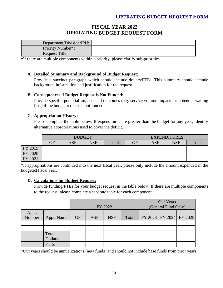### **OPERATING BUDGET REQUEST FORM**

### **FISCAL YEAR 2022 OPERATING BUDGET REQUEST FORM**

| Department/Division/IPU: |  |
|--------------------------|--|
| Priority Number*:        |  |
| Request Title:           |  |

**\***If there are multiple components within a priority, please clarify sub-priorities.

### **A. Detailed Summary and Background of Budget Request:**

Provide a succinct paragraph which should include dollars/FTEs. This summary should include background information and justification for the request.

### **B. Consequences if Budget Request is Not Funded:**

Provide specific potential impacts and outcomes (e.g. service volume impacts or potential waiting lists) if the budget request is not funded.

### **C. Appropriation History:**

Please complete the table below. If expenditures are greater than the budget for any year, identify alternative appropriations used to cover the deficit.

|         | <b>BUDGET</b> |     |            |       | <b>EXPENDITURES</b> |            |            |       |
|---------|---------------|-----|------------|-------|---------------------|------------|------------|-------|
|         | GF            | ASF | <b>NSF</b> | Total | $\rm{GF}$           | <b>ASF</b> | <b>NSF</b> | Total |
| FY 2019 |               |     |            |       |                     |            |            |       |
| FY 2020 |               |     |            |       |                     |            |            |       |
| FY 2021 |               |     |            |       |                     |            |            |       |

\*If appropriations are continued into the next fiscal year, please only include the amount expended in the budgeted fiscal year.

### **D. Calculations for Budget Request:**

Provide funding/FTEs for your budget request in the table below. If there are multiple components to the request, please complete a separate table for each component.

|                 |                         | FY 2022   |     |            |       | Out Years<br>(General Fund Only) |  |                         |
|-----------------|-------------------------|-----------|-----|------------|-------|----------------------------------|--|-------------------------|
| Appr.<br>Number | Appr. Name              | <b>GF</b> | ASF | <b>NSF</b> | Total |                                  |  | FY 2023 FY 2024 FY 2025 |
|                 |                         |           |     |            |       |                                  |  |                         |
|                 |                         |           |     |            |       |                                  |  |                         |
|                 | Total<br><b>Dollars</b> |           |     |            |       |                                  |  |                         |
|                 | <b>FTEs</b>             |           |     |            |       |                                  |  |                         |

\*Out years should be annualizations (new funds) and should not include base funds from prior years.